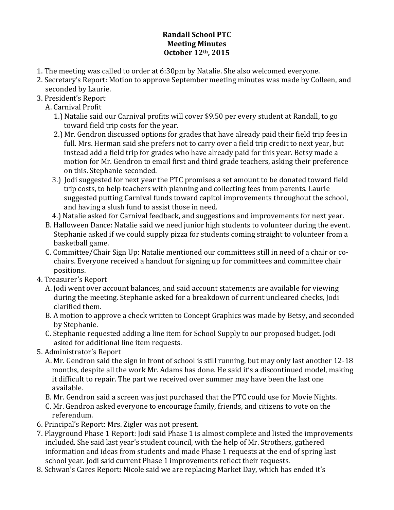## **Randall School PTC Meeting Minutes October 12th, 2015**

- 1. The meeting was called to order at 6:30pm by Natalie. She also welcomed everyone.
- 2. Secretary's Report: Motion to approve September meeting minutes was made by Colleen, and seconded by Laurie.
- 3. President's Report
	- A. Carnival Profit
		- 1.) Natalie said our Carnival profits will cover \$9.50 per every student at Randall, to go toward field trip costs for the year.
		- 2.) Mr. Gendron discussed options for grades that have already paid their field trip fees in full. Mrs. Herman said she prefers not to carry over a field trip credit to next year, but instead add a field trip for grades who have already paid for this year. Betsy made a motion for Mr. Gendron to email first and third grade teachers, asking their preference on this. Stephanie seconded.
		- 3.) Iodi suggested for next year the PTC promises a set amount to be donated toward field trip costs, to help teachers with planning and collecting fees from parents. Laurie suggested putting Carnival funds toward capitol improvements throughout the school, and having a slush fund to assist those in need.
		- 4.) Natalie asked for Carnival feedback, and suggestions and improvements for next year.
	- B. Halloween Dance: Natalie said we need junior high students to volunteer during the event. Stephanie asked if we could supply pizza for students coming straight to volunteer from a basketball game.
	- C. Committee/Chair Sign Up: Natalie mentioned our committees still in need of a chair or cochairs. Everyone received a handout for signing up for committees and committee chair positions.
- 4. Treasurer's Report
	- A. Jodi went over account balances, and said account statements are available for viewing during the meeting. Stephanie asked for a breakdown of current uncleared checks, Jodi clarified them.
	- B. A motion to approve a check written to Concept Graphics was made by Betsy, and seconded by Stephanie.
	- C. Stephanie requested adding a line item for School Supply to our proposed budget. Jodi asked for additional line item requests.
- 5. Administrator's Report
	- A. Mr. Gendron said the sign in front of school is still running, but may only last another 12-18 months, despite all the work Mr. Adams has done. He said it's a discontinued model, making it difficult to repair. The part we received over summer may have been the last one available.
	- B. Mr. Gendron said a screen was just purchased that the PTC could use for Movie Nights.
	- C. Mr. Gendron asked everyone to encourage family, friends, and citizens to vote on the referendum.
- 6. Principal's Report: Mrs. Zigler was not present.
- 7. Playground Phase 1 Report: Jodi said Phase 1 is almost complete and listed the improvements included. She said last year's student council, with the help of Mr. Strothers, gathered information and ideas from students and made Phase 1 requests at the end of spring last school year. Jodi said current Phase 1 improvements reflect their requests.
- 8. Schwan's Cares Report: Nicole said we are replacing Market Day, which has ended it's